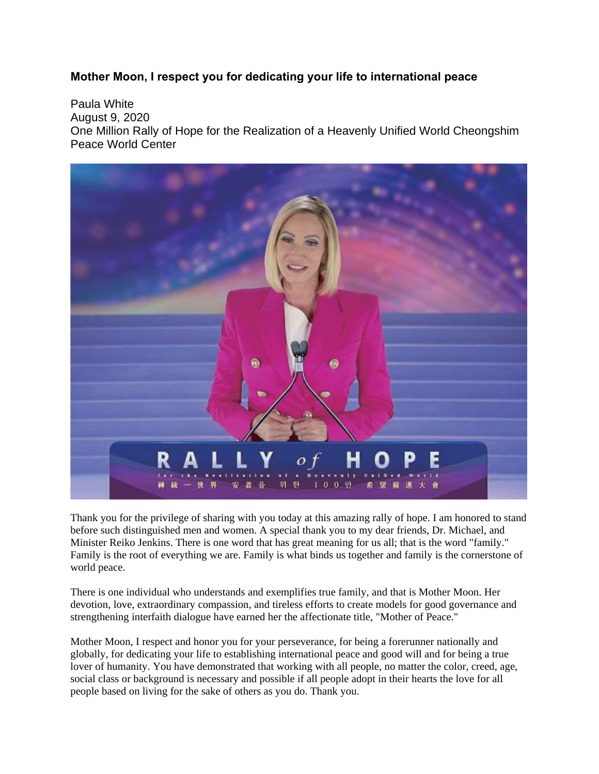## **Mother Moon, I respect you for dedicating your life to international peace**

Paula White August 9, 2020 One Million Rally of Hope for the Realization of a Heavenly Unified World Cheongshim Peace World Center



Thank you for the privilege of sharing with you today at this amazing rally of hope. I am honored to stand before such distinguished men and women. A special thank you to my dear friends, Dr. Michael, and Minister Reiko Jenkins. There is one word that has great meaning for us all; that is the word "family." Family is the root of everything we are. Family is what binds us together and family is the cornerstone of world peace.

There is one individual who understands and exemplifies true family, and that is Mother Moon. Her devotion, love, extraordinary compassion, and tireless efforts to create models for good governance and strengthening interfaith dialogue have earned her the affectionate title, "Mother of Peace."

Mother Moon, I respect and honor you for your perseverance, for being a forerunner nationally and globally, for dedicating your life to establishing international peace and good will and for being a true lover of humanity. You have demonstrated that working with all people, no matter the color, creed, age, social class or background is necessary and possible if all people adopt in their hearts the love for all people based on living for the sake of others as you do. Thank you.